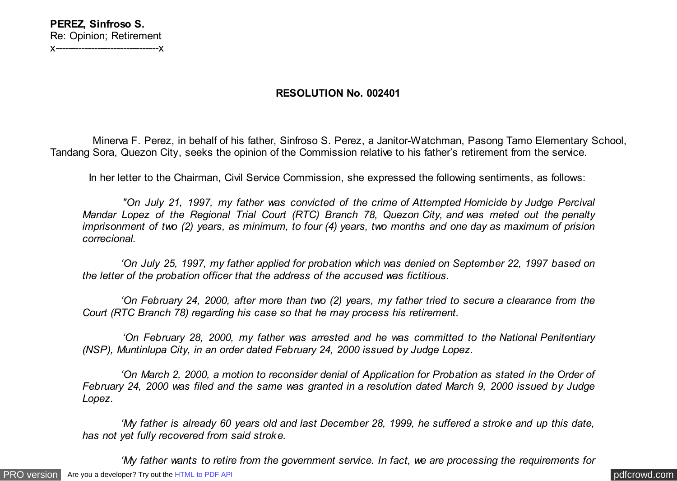## **RESOLUTION No. 002401**

 Minerva F. Perez, in behalf of his father, Sinfroso S. Perez, a Janitor-Watchman, Pasong Tamo Elementary School, Tandang Sora, Quezon City, seeks the opinion of the Commission relative to his father's retirement from the service.

In her letter to the Chairman, Civil Service Commission, she expressed the following sentiments, as follows:

 *"On July 21, 1997, my father was convicted of the crime of Attempted Homicide by Judge Percival Mandar Lopez of the Regional Trial Court (RTC) Branch 78, Quezon City, and was meted out the penalty imprisonment of two (2) years, as minimum, to four (4) years, two months and one day as maximum of prision correcional.*

 *'On July 25, 1997, my father applied for probation which was denied on September 22, 1997 based on the letter of the probation officer that the address of the accused was fictitious.*

 *'On February 24, 2000, after more than two (2) years, my father tried to secure a clearance from the Court (RTC Branch 78) regarding his case so that he may process his retirement.*

 *'On February 28, 2000, my father was arrested and he was committed to the National Penitentiary (NSP), Muntinlupa City, in an order dated February 24, 2000 issued by Judge Lopez.*

 *'On March 2, 2000, a motion to reconsider denial of Application for Probation as stated in the Order of February 24, 2000 was filed and the same was granted in a resolution dated March 9, 2000 issued by Judge Lopez.*

 *'My father is already 60 years old and last December 28, 1999, he suffered a stroke and up this date, has not yet fully recovered from said stroke.*

 *'My father wants to retire from the government service. In fact, we are processing the requirements for*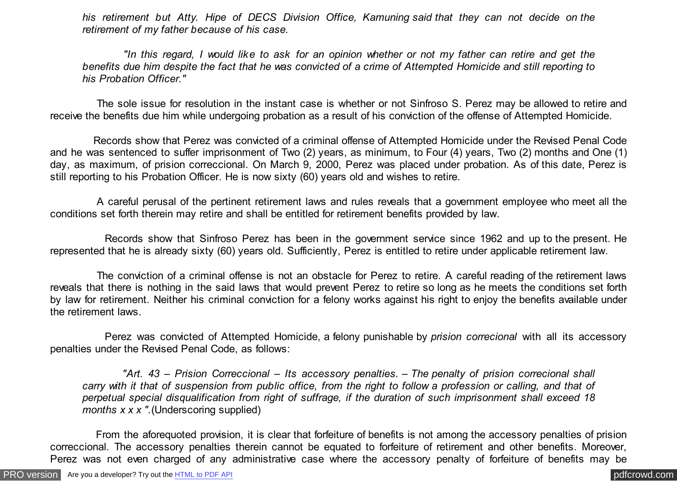*his retirement but Atty. Hipe of DECS Division Office, Kamuning said that they can not decide on the retirement of my father because of his case.*

 *"In this regard, I would like to ask for an opinion whether or not my father can retire and get the benefits due him despite the fact that he was convicted of a crime of Attempted Homicide and still reporting to his Probation Officer."*

 The sole issue for resolution in the instant case is whether or not Sinfroso S. Perez may be allowed to retire and receive the benefits due him while undergoing probation as a result of his conviction of the offense of Attempted Homicide.

 Records show that Perez was convicted of a criminal offense of Attempted Homicide under the Revised Penal Code and he was sentenced to suffer imprisonment of Two (2) years, as minimum, to Four (4) years, Two (2) months and One (1) day, as maximum, of prision correccional. On March 9, 2000, Perez was placed under probation. As of this date, Perez is still reporting to his Probation Officer. He is now sixty (60) years old and wishes to retire.

 A careful perusal of the pertinent retirement laws and rules reveals that a government employee who meet all the conditions set forth therein may retire and shall be entitled for retirement benefits provided by law.

 Records show that Sinfroso Perez has been in the government service since 1962 and up to the present. He represented that he is already sixty (60) years old. Sufficiently, Perez is entitled to retire under applicable retirement law.

 The conviction of a criminal offense is not an obstacle for Perez to retire. A careful reading of the retirement laws reveals that there is nothing in the said laws that would prevent Perez to retire so long as he meets the conditions set forth by law for retirement. Neither his criminal conviction for a felony works against his right to enjoy the benefits available under the retirement laws.

 Perez was convicted of Attempted Homicide, a felony punishable by *prision correcional* with all its accessory penalties under the Revised Penal Code, as follows:

 *"Art. 43 – Prision Correccional – Its accessory penalties. – The penalty of prision correcional shall carry with it that of suspension from public office, from the right to follow a profession or calling, and that of perpetual special disqualification from right of suffrage, if the duration of such imprisonment shall exceed 18 months x x x ".*(Underscoring supplied)

 From the aforequoted provision, it is clear that forfeiture of benefits is not among the accessory penalties of prision correccional. The accessory penalties therein cannot be equated to forfeiture of retirement and other benefits. Moreover, Perez was not even charged of any administrative case where the accessory penalty of forfeiture of benefits may be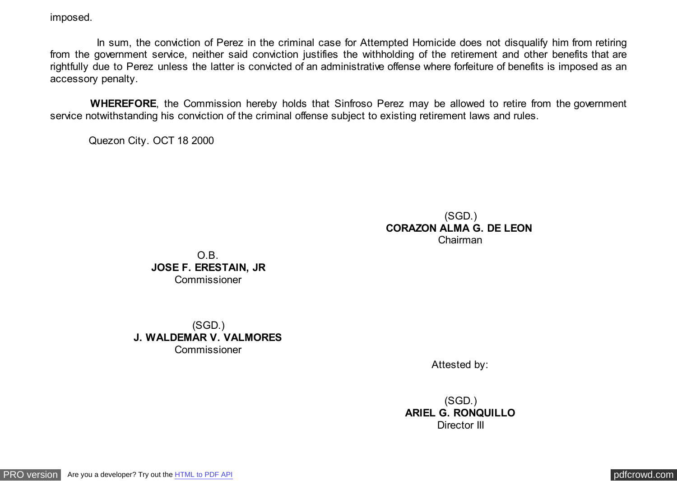imposed.

In sum, the conviction of Perez in the criminal case for Attempted Homicide does not disqualify him from retiring from the government service, neither said conviction justifies the withholding of the retirement and other benefits that are rightfully due to Perez unless the latter is convicted of an administrative offense where forfeiture of benefits is imposed as an accessory penalty.

 **WHEREFORE**, the Commission hereby holds that Sinfroso Perez may be allowed to retire from the government service not with standing his conviction of the criminal offense subject to existing retirement laws and rules.

Quezon City. OCT 18 2000

## (SGD.) **CORAZON ALMA G. DE LEON**  Chairman

O.B. **JOSE F. ERESTAIN, JR** Commissioner

(SGD.) **J. WALDEMAR V. VALMORES** Commissioner

Attested by:

(SGD.) **ARIEL G. RONQUILLO** Director III